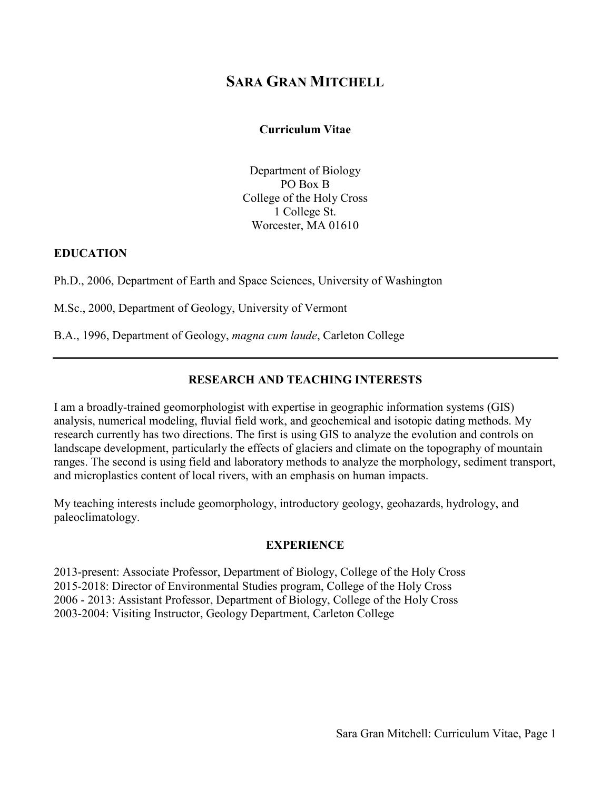# **SARA GRAN MITCHELL**

#### **Curriculum Vitae**

Department of Biology PO Box B College of the Holy Cross 1 College St. Worcester, MA 01610

#### **EDUCATION**

Ph.D., 2006, Department of Earth and Space Sciences, University of Washington

M.Sc., 2000, Department of Geology, University of Vermont

B.A., 1996, Department of Geology, *magna cum laude*, Carleton College

### **RESEARCH AND TEACHING INTERESTS**

I am a broadly-trained geomorphologist with expertise in geographic information systems (GIS) analysis, numerical modeling, fluvial field work, and geochemical and isotopic dating methods. My research currently has two directions. The first is using GIS to analyze the evolution and controls on landscape development, particularly the effects of glaciers and climate on the topography of mountain ranges. The second is using field and laboratory methods to analyze the morphology, sediment transport, and microplastics content of local rivers, with an emphasis on human impacts.

My teaching interests include geomorphology, introductory geology, geohazards, hydrology, and paleoclimatology.

#### **EXPERIENCE**

2013-present: Associate Professor, Department of Biology, College of the Holy Cross 2015-2018: Director of Environmental Studies program, College of the Holy Cross 2006 - 2013: Assistant Professor, Department of Biology, College of the Holy Cross 2003-2004: Visiting Instructor, Geology Department, Carleton College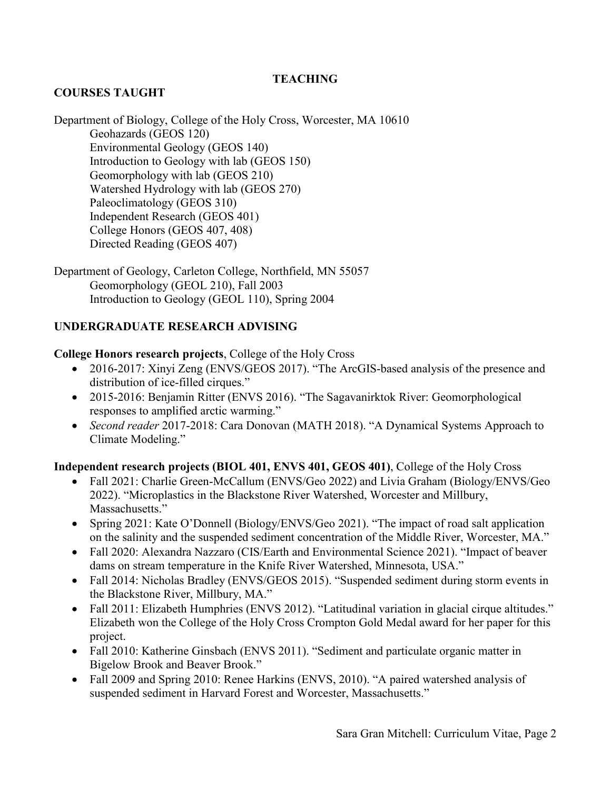# **TEACHING**

# **COURSES TAUGHT**

Department of Biology, College of the Holy Cross, Worcester, MA 10610 Geohazards (GEOS 120) Environmental Geology (GEOS 140) Introduction to Geology with lab (GEOS 150) Geomorphology with lab (GEOS 210) Watershed Hydrology with lab (GEOS 270) Paleoclimatology (GEOS 310) Independent Research (GEOS 401) College Honors (GEOS 407, 408) Directed Reading (GEOS 407)

Department of Geology, Carleton College, Northfield, MN 55057 Geomorphology (GEOL 210), Fall 2003 Introduction to Geology (GEOL 110), Spring 2004

# **UNDERGRADUATE RESEARCH ADVISING**

#### **College Honors research projects**, College of the Holy Cross

- 2016-2017: Xinyi Zeng (ENVS/GEOS 2017). "The ArcGIS-based analysis of the presence and distribution of ice-filled cirques."
- 2015-2016: Benjamin Ritter (ENVS 2016). "The Sagavanirktok River: Geomorphological responses to amplified arctic warming."
- *Second reader* 2017-2018: Cara Donovan (MATH 2018). "A Dynamical Systems Approach to Climate Modeling."

### **Independent research projects (BIOL 401, ENVS 401, GEOS 401)**, College of the Holy Cross

- Fall 2021: Charlie Green-McCallum (ENVS/Geo 2022) and Livia Graham (Biology/ENVS/Geo 2022). "Microplastics in the Blackstone River Watershed, Worcester and Millbury, Massachusetts."
- Spring 2021: Kate O'Donnell (Biology/ENVS/Geo 2021). "The impact of road salt application on the salinity and the suspended sediment concentration of the Middle River, Worcester, MA."
- Fall 2020: Alexandra Nazzaro (CIS/Earth and Environmental Science 2021). "Impact of beaver dams on stream temperature in the Knife River Watershed, Minnesota, USA."
- Fall 2014: Nicholas Bradley (ENVS/GEOS 2015). "Suspended sediment during storm events in the Blackstone River, Millbury, MA."
- Fall 2011: Elizabeth Humphries (ENVS 2012). "Latitudinal variation in glacial cirque altitudes." Elizabeth won the College of the Holy Cross Crompton Gold Medal award for her paper for this project.
- Fall 2010: Katherine Ginsbach (ENVS 2011). "Sediment and particulate organic matter in Bigelow Brook and Beaver Brook."
- Fall 2009 and Spring 2010: Renee Harkins (ENVS, 2010). "A paired watershed analysis of suspended sediment in Harvard Forest and Worcester, Massachusetts."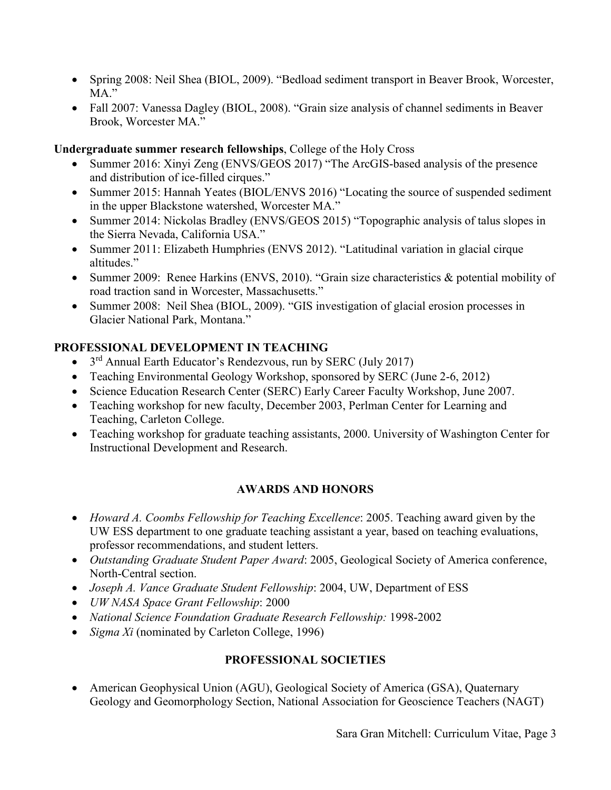- Spring 2008: Neil Shea (BIOL, 2009). "Bedload sediment transport in Beaver Brook, Worcester, MA."
- Fall 2007: Vanessa Dagley (BIOL, 2008). "Grain size analysis of channel sediments in Beaver Brook, Worcester MA."

### **Undergraduate summer research fellowships**, College of the Holy Cross

- Summer 2016: Xinyi Zeng (ENVS/GEOS 2017) "The ArcGIS-based analysis of the presence and distribution of ice-filled cirques."
- Summer 2015: Hannah Yeates (BIOL/ENVS 2016) "Locating the source of suspended sediment in the upper Blackstone watershed, Worcester MA."
- Summer 2014: Nickolas Bradley (ENVS/GEOS 2015) "Topographic analysis of talus slopes in the Sierra Nevada, California USA."
- Summer 2011: Elizabeth Humphries (ENVS 2012). "Latitudinal variation in glacial cirque altitudes."
- Summer 2009: Renee Harkins (ENVS, 2010). "Grain size characteristics & potential mobility of road traction sand in Worcester, Massachusetts."
- Summer 2008: Neil Shea (BIOL, 2009). "GIS investigation of glacial erosion processes in Glacier National Park, Montana."

### **PROFESSIONAL DEVELOPMENT IN TEACHING**

- $3<sup>rd</sup>$  Annual Earth Educator's Rendezvous, run by SERC (July 2017)
- Teaching Environmental Geology Workshop, sponsored by SERC (June 2-6, 2012)
- Science Education Research Center (SERC) Early Career Faculty Workshop, June 2007.
- Teaching workshop for new faculty, December 2003, Perlman Center for Learning and Teaching, Carleton College.
- Teaching workshop for graduate teaching assistants, 2000. University of Washington Center for Instructional Development and Research.

# **AWARDS AND HONORS**

- *Howard A. Coombs Fellowship for Teaching Excellence*: 2005. Teaching award given by the UW ESS department to one graduate teaching assistant a year, based on teaching evaluations, professor recommendations, and student letters.
- *Outstanding Graduate Student Paper Award*: 2005, Geological Society of America conference, North-Central section.
- *Joseph A. Vance Graduate Student Fellowship*: 2004, UW, Department of ESS
- *UW NASA Space Grant Fellowship*: 2000
- *National Science Foundation Graduate Research Fellowship:* 1998-2002
- *Sigma Xi* (nominated by Carleton College, 1996)

### **PROFESSIONAL SOCIETIES**

• American Geophysical Union (AGU), Geological Society of America (GSA), Quaternary Geology and Geomorphology Section, National Association for Geoscience Teachers (NAGT)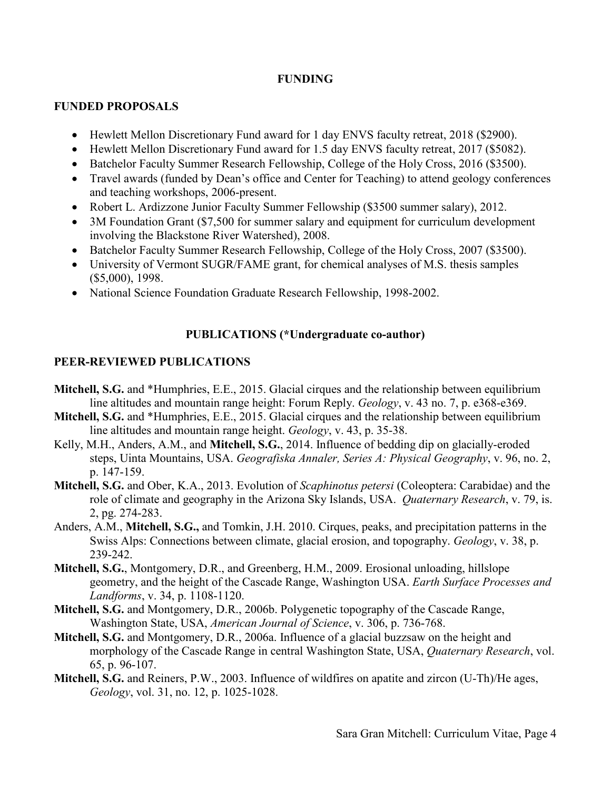#### **FUNDING**

#### **FUNDED PROPOSALS**

- Hewlett Mellon Discretionary Fund award for 1 day ENVS faculty retreat, 2018 (\$2900).
- Hewlett Mellon Discretionary Fund award for 1.5 day ENVS faculty retreat, 2017 (\$5082).
- Batchelor Faculty Summer Research Fellowship, College of the Holy Cross, 2016 (\$3500).
- Travel awards (funded by Dean's office and Center for Teaching) to attend geology conferences and teaching workshops, 2006-present.
- Robert L. Ardizzone Junior Faculty Summer Fellowship (\$3500 summer salary), 2012.
- 3M Foundation Grant (\$7,500 for summer salary and equipment for curriculum development involving the Blackstone River Watershed), 2008.
- Batchelor Faculty Summer Research Fellowship, College of the Holy Cross, 2007 (\$3500).
- University of Vermont SUGR/FAME grant, for chemical analyses of M.S. thesis samples (\$5,000), 1998.
- National Science Foundation Graduate Research Fellowship, 1998-2002.

# **PUBLICATIONS (\*Undergraduate co-author)**

# **PEER-REVIEWED PUBLICATIONS**

- **Mitchell, S.G.** and \*Humphries, E.E., 2015. Glacial cirques and the relationship between equilibrium line altitudes and mountain range height: Forum Reply. *Geology*, v. 43 no. 7, p. e368-e369.
- **Mitchell, S.G.** and \*Humphries, E.E., 2015. Glacial cirques and the relationship between equilibrium line altitudes and mountain range height. *Geology*, v. 43, p. 35-38.
- Kelly, M.H., Anders, A.M., and **Mitchell, S.G.**, 2014. Influence of bedding dip on glacially-eroded steps, Uinta Mountains, USA. *Geografiska Annaler, Series A: Physical Geography*, v. 96, no. 2, p. 147-159.
- **Mitchell, S.G.** and Ober, K.A., 2013. Evolution of *Scaphinotus petersi* (Coleoptera: Carabidae) and the role of climate and geography in the Arizona Sky Islands, USA. *Quaternary Research*, v. 79, is. 2, pg. 274-283.
- Anders, A.M., **Mitchell, S.G.,** and Tomkin, J.H. 2010. Cirques, peaks, and precipitation patterns in the Swiss Alps: Connections between climate, glacial erosion, and topography. *Geology*, v. 38, p. 239-242.
- **Mitchell, S.G.**, Montgomery, D.R., and Greenberg, H.M., 2009. Erosional unloading, hillslope geometry, and the height of the Cascade Range, Washington USA. *Earth Surface Processes and Landforms*, v. 34, p. 1108-1120.
- **Mitchell, S.G.** and Montgomery, D.R., 2006b. Polygenetic topography of the Cascade Range, Washington State, USA, *American Journal of Science*, v. 306, p. 736-768.
- **Mitchell, S.G.** and Montgomery, D.R., 2006a. Influence of a glacial buzzsaw on the height and morphology of the Cascade Range in central Washington State, USA, *Quaternary Research*, vol. 65, p. 96-107.
- **Mitchell, S.G.** and Reiners, P.W., 2003. Influence of wildfires on apatite and zircon (U-Th)/He ages, *Geology*, vol. 31, no. 12, p. 1025-1028.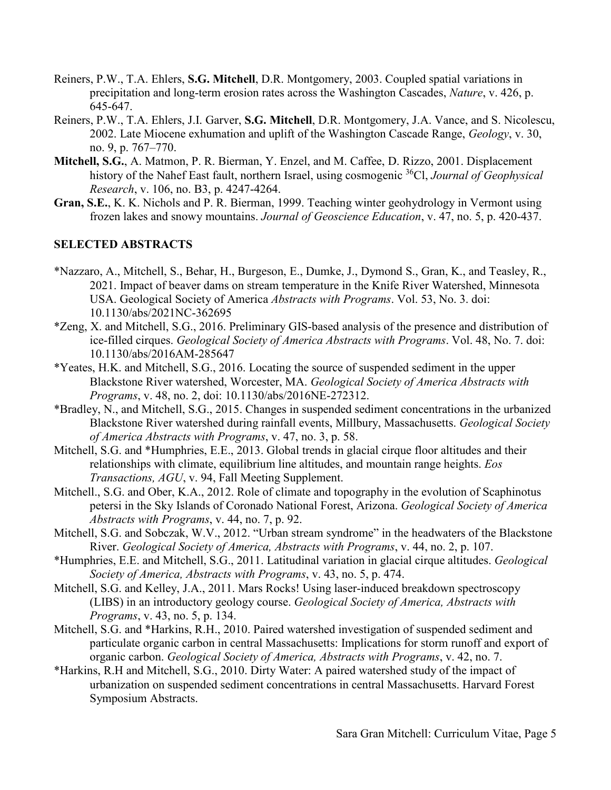- Reiners, P.W., T.A. Ehlers, **S.G. Mitchell**, D.R. Montgomery, 2003. [Coupled spatial variations in](http://www.geology.yale.edu/%7Ereiners/Reinersetal2003Cascades.pdf)  [precipitation and long-term erosion rates across the Washington Cascades,](http://www.geology.yale.edu/%7Ereiners/Reinersetal2003Cascades.pdf) *Nature*, v. 426, p. 645-647.
- Reiners, P.W., T.A. Ehlers, J.I. Garver, **S.G. Mitchell**, D.R. Montgomery, J.A. Vance, and S. Nicolescu, 2002. Late Miocene exhumation and uplift of the Washington Cascade Range, *Geology*, v. 30, no. 9, p. 767–770.
- **Mitchell, S.G.**, A. Matmon, P. R. Bierman, Y. Enzel, and M. Caffee, D. Rizzo, 2001. Displacement history of the Nahef East fault, northern Israel, using cosmogenic 36Cl, *Journal of Geophysical Research*, v. 106, no. B3, p. 4247-4264.
- **Gran, S.E.**, K. K. Nichols and P. R. Bierman, 1999. Teaching winter geohydrology in Vermont using frozen lakes and snowy mountains. *Journal of Geoscience Education*, v. 47, no. 5, p. 420-437.

#### **SELECTED ABSTRACTS**

- \*Nazzaro, A., Mitchell, S., Behar, H., Burgeson, E., Dumke, J., Dymond S., Gran, K., and Teasley, R., 2021. Impact of beaver dams on stream temperature in the Knife River Watershed, Minnesota USA. Geological Society of America *Abstracts with Programs*. Vol. 53, No. 3. doi: 10.1130/abs/2021NC-362695
- \*Zeng, X. and Mitchell, S.G., 2016. Preliminary GIS-based analysis of the presence and distribution of ice-filled cirques. *Geological Society of America Abstracts with Programs*. Vol. 48, No. 7. doi: 10.1130/abs/2016AM-285647
- \*Yeates, H.K. and Mitchell, S.G., 2016. Locating the source of suspended sediment in the upper Blackstone River watershed, Worcester, MA. *Geological Society of America Abstracts with Programs*, v. 48, no. 2, doi: 10.1130/abs/2016NE-272312.
- \*Bradley, N., and Mitchell, S.G., 2015. Changes in suspended sediment concentrations in the urbanized Blackstone River watershed during rainfall events, Millbury, Massachusetts. *Geological Society of America Abstracts with Programs*, v. 47, no. 3, p. 58.
- Mitchell, S.G. and \*Humphries, E.E., 2013. Global trends in glacial cirque floor altitudes and their relationships with climate, equilibrium line altitudes, and mountain range heights. *Eos Transactions, AGU*, v. 94, Fall Meeting Supplement.
- Mitchell., S.G. and Ober, K.A., 2012. Role of climate and topography in the evolution of Scaphinotus petersi in the Sky Islands of Coronado National Forest, Arizona. *Geological Society of America Abstracts with Programs*, v. 44, no. 7, p. 92.
- Mitchell, S.G. and Sobczak, W.V., 2012. "Urban stream syndrome" in the headwaters of the Blackstone River. *Geological Society of America, Abstracts with Programs*, v. 44, no. 2, p. 107.
- \*Humphries, E.E. and Mitchell, S.G., 2011. Latitudinal variation in glacial cirque altitudes. *Geological Society of America, Abstracts with Programs*, v. 43, no. 5, p. 474.
- Mitchell, S.G. and Kelley, J.A., 2011. Mars Rocks! Using laser-induced breakdown spectroscopy (LIBS) in an introductory geology course. *Geological Society of America, Abstracts with Programs*, v. 43, no. 5, p. 134.
- Mitchell, S.G. and \*Harkins, R.H., 2010. Paired watershed investigation of suspended sediment and particulate organic carbon in central Massachusetts: Implications for storm runoff and export of organic carbon. *Geological Society of America, Abstracts with Programs*, v. 42, no. 7.
- \*Harkins, R.H and Mitchell, S.G., 2010. Dirty Water: A paired watershed study of the impact of urbanization on suspended sediment concentrations in central Massachusetts. Harvard Forest Symposium Abstracts.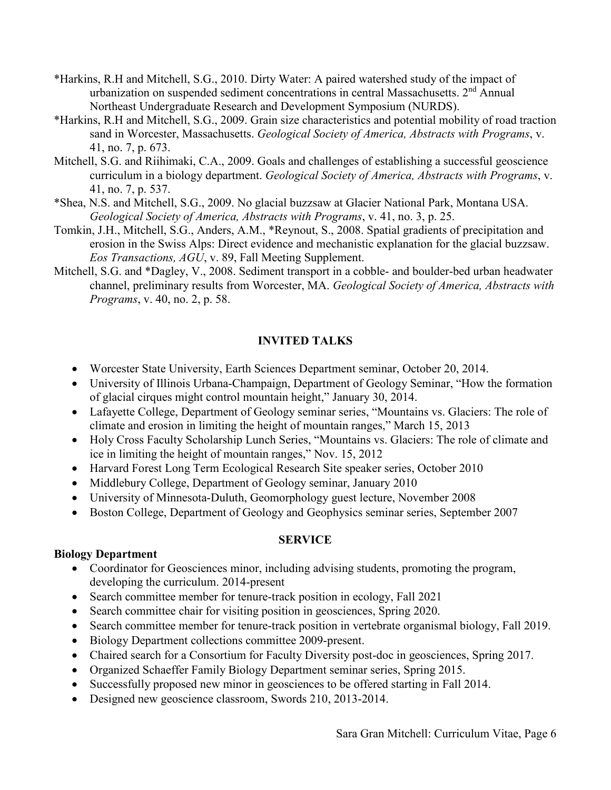- \*Harkins, R.H and Mitchell, S.G., 2010. Dirty Water: A paired watershed study of the impact of urbanization on suspended sediment concentrations in central Massachusetts.  $2<sup>nd</sup>$  Annual Northeast Undergraduate Research and Development Symposium (NURDS).
- \*Harkins, R.H and Mitchell, S.G., 2009. Grain size characteristics and potential mobility of road traction sand in Worcester, Massachusetts. *Geological Society of America, Abstracts with Programs*, v. 41, no. 7, p. 673.
- Mitchell, S.G. and Riihimaki, C.A., 2009. Goals and challenges of establishing a successful geoscience curriculum in a biology department. *Geological Society of America, Abstracts with Programs*, v. 41, no. 7, p. 537.
- \*Shea, N.S. and Mitchell, S.G., 2009. No glacial buzzsaw at Glacier National Park, Montana USA. *Geological Society of America, Abstracts with Programs*, v. 41, no. 3, p. 25.
- Tomkin, J.H., Mitchell, S.G., Anders, A.M., \*Reynout, S., 2008. Spatial gradients of precipitation and erosion in the Swiss Alps: Direct evidence and mechanistic explanation for the glacial buzzsaw. *Eos Transactions, AGU*, v. 89, Fall Meeting Supplement.
- Mitchell, S.G. and \*Dagley, V., 2008. Sediment transport in a cobble- and boulder-bed urban headwater channel, preliminary results from Worcester, MA. *Geological Society of America, Abstracts with Programs*, v. 40, no. 2, p. 58.

# **INVITED TALKS**

- Worcester State University, Earth Sciences Department seminar, October 20, 2014.
- University of Illinois Urbana-Champaign, Department of Geology Seminar, "How the formation of glacial cirques might control mountain height," January 30, 2014.
- Lafayette College, Department of Geology seminar series, "Mountains vs. Glaciers: The role of climate and erosion in limiting the height of mountain ranges," March 15, 2013
- Holy Cross Faculty Scholarship Lunch Series, "Mountains vs. Glaciers: The role of climate and ice in limiting the height of mountain ranges," Nov. 15, 2012
- Harvard Forest Long Term Ecological Research Site speaker series, October 2010
- Middlebury College, Department of Geology seminar, January 2010
- University of Minnesota-Duluth, Geomorphology guest lecture, November 2008
- Boston College, Department of Geology and Geophysics seminar series, September 2007

#### **SERVICE**

#### **Biology Department**

- Coordinator for Geosciences minor, including advising students, promoting the program, developing the curriculum. 2014-present
- Search committee member for tenure-track position in ecology, Fall 2021
- Search committee chair for visiting position in geosciences, Spring 2020.
- Search committee member for tenure-track position in vertebrate organismal biology, Fall 2019.
- Biology Department collections committee 2009-present.
- Chaired search for a Consortium for Faculty Diversity post-doc in geosciences, Spring 2017.
- Organized Schaeffer Family Biology Department seminar series, Spring 2015.
- Successfully proposed new minor in geosciences to be offered starting in Fall 2014.
- Designed new geoscience classroom, Swords 210, 2013-2014.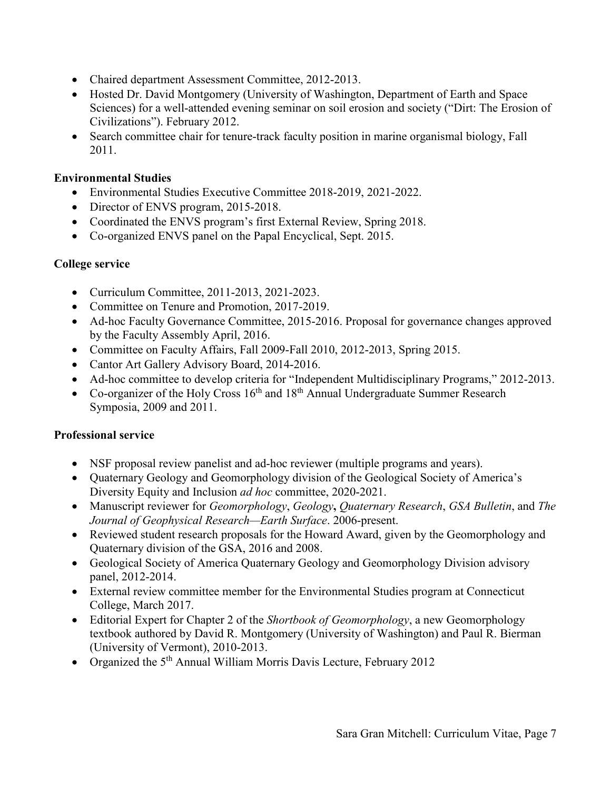- Chaired department Assessment Committee, 2012-2013.
- Hosted Dr. David Montgomery (University of Washington, Department of Earth and Space Sciences) for a well-attended evening seminar on soil erosion and society ("Dirt: The Erosion of Civilizations"). February 2012.
- Search committee chair for tenure-track faculty position in marine organismal biology, Fall 2011.

#### **Environmental Studies**

- Environmental Studies Executive Committee 2018-2019, 2021-2022.
- Director of ENVS program, 2015-2018.
- Coordinated the ENVS program's first External Review, Spring 2018.
- Co-organized ENVS panel on the Papal Encyclical, Sept. 2015.

### **College service**

- Curriculum Committee, 2011-2013, 2021-2023.
- Committee on Tenure and Promotion, 2017-2019.
- Ad-hoc Faculty Governance Committee, 2015-2016. Proposal for governance changes approved by the Faculty Assembly April, 2016.
- Committee on Faculty Affairs, Fall 2009-Fall 2010, 2012-2013, Spring 2015.
- Cantor Art Gallery Advisory Board, 2014-2016.
- Ad-hoc committee to develop criteria for "Independent Multidisciplinary Programs," 2012-2013.
- Co-organizer of the Holy Cross  $16<sup>th</sup>$  and  $18<sup>th</sup>$  Annual Undergraduate Summer Research Symposia, 2009 and 2011.

### **Professional service**

- NSF proposal review panelist and ad-hoc reviewer (multiple programs and years).
- Quaternary Geology and Geomorphology division of the Geological Society of America's Diversity Equity and Inclusion *ad hoc* committee, 2020-2021.
- Manuscript reviewer for *Geomorphology*, *Geology***,** *Quaternary Research*, *GSA Bulletin*, and *The Journal of Geophysical Research—Earth Surface*. 2006-present.
- Reviewed student research proposals for the Howard Award, given by the Geomorphology and Quaternary division of the GSA, 2016 and 2008.
- Geological Society of America Quaternary Geology and Geomorphology Division advisory panel, 2012-2014.
- External review committee member for the Environmental Studies program at Connecticut College, March 2017.
- Editorial Expert for Chapter 2 of the *Shortbook of Geomorphology*, a new Geomorphology textbook authored by David R. Montgomery (University of Washington) and Paul R. Bierman (University of Vermont), 2010-2013.
- Organized the 5<sup>th</sup> Annual William Morris Davis Lecture, February 2012